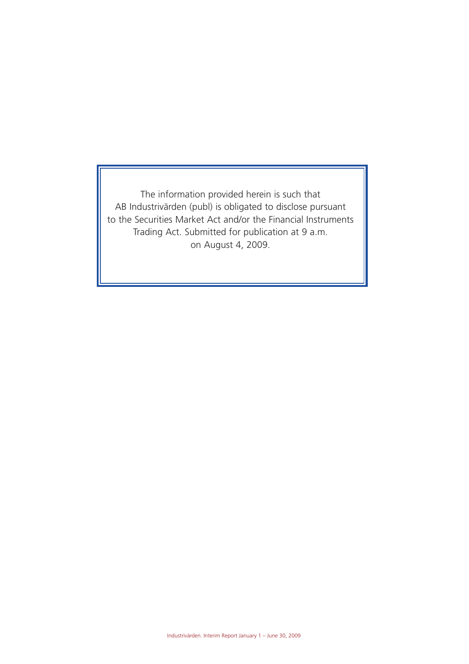The information provided herein is such that AB Industrivärden (publ) is obligated to disclose pursuant to the Securities Market Act and/or the Financial Instruments Trading Act. Submitted for publication at 9 a.m. on August 4, 2009.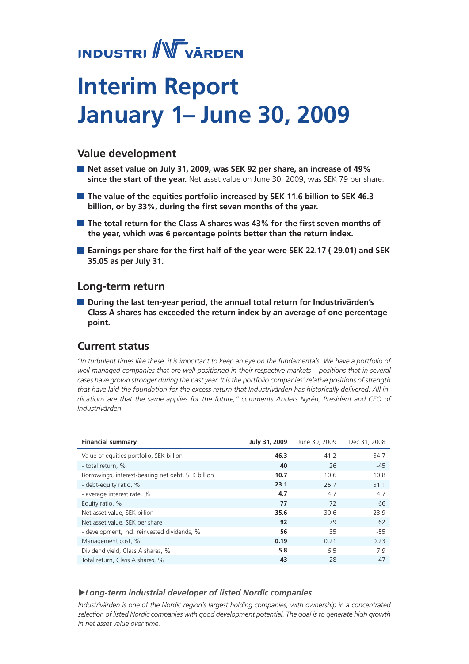# **INDUSTRI** WVÄRDEN

# **Interim Report January 1– June 30, 2009**

## **Value development**

- Net asset value on July 31, 2009, was SEK 92 per share, an increase of 49% **since the start of the year.** Net asset value on June 30, 2009, was SEK 79 per share.
- **The value of the equities portfolio increased by SEK 11.6 billion to SEK 46.3 billion, or by 33%, during the first seven months of the year.**
- **The total return for the Class A shares was 43% for the first seven months of the year, which was 6 percentage points better than the return index.**
- **Earnings per share for the first half of the year were SEK 22.17 (-29.01) and SEK 35.05 as per July 31.**

## **Long-term return**

■ During the last ten-year period, the annual total return for Industrivärden's **Class A shares has exceeded the return index by an average of one percentage point.**

## **Current status**

*"In turbulent times like these, it is important to keep an eye on the fundamentals. We have a portfolio of well managed companies that are well positioned in their respective markets – positions that in several cases have grown stronger during the past year. It is the portfolio companies' relative positions of strength that have laid the foundation for the excess return that Industrivärden has historically delivered. All indications are that the same applies for the future," comments Anders Nyrén, President and CEO of Industrivärden.* 

| <b>Financial summary</b>                           | July 31, 2009 | June 30, 2009 | Dec.31, 2008 |
|----------------------------------------------------|---------------|---------------|--------------|
| Value of equities portfolio, SEK billion           | 46.3          | 41.2          | 34.7         |
| - total return, %                                  | 40            | 26            | $-45$        |
| Borrowings, interest-bearing net debt, SEK billion | 10.7          | 10.6          | 10.8         |
| - debt-equity ratio, %                             | 23.1          | 25.7          | 31.1         |
| - average interest rate, %                         | 4.7           | 4.7           | 4.7          |
| Equity ratio, %                                    | 77            | 72            | 66           |
| Net asset value, SEK billion                       | 35.6          | 30.6          | 23.9         |
| Net asset value, SEK per share                     | 92            | 79            | 62           |
| - development, incl. reinvested dividends, %       | 56            | 35            | -55          |
| Management cost, %                                 | 0.19          | 0.21          | 0.23         |
| Dividend yield, Class A shares, %                  | 5.8           | 6.5           | 7.9          |
| Total return, Class A shares, %                    | 43            | 28            | $-47$        |

### u*Long-term industrial developer of listed Nordic companies*

*Industrivärden is one of the Nordic region's largest holding companies, with ownership in a concentrated selection of listed Nordic companies with good development potential. The goal is to generate high growth in net asset value over time.*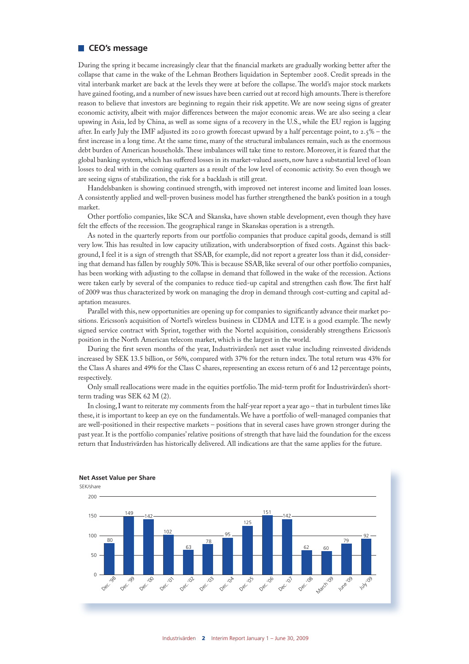#### **E** CEO's message

During the spring it became increasingly clear that the financial markets are gradually working better after the collapse that came in the wake of the Lehman Brothers liquidation in September 2008. Credit spreads in the vital interbank market are back at the levels they were at before the collapse. The world's major stock markets have gained footing, and a number of new issues have been carried out at record high amounts. There is therefore reason to believe that investors are beginning to regain their risk appetite. We are now seeing signs of greater economic activity, albeit with major differences between the major economic areas. We are also seeing a clear upswing in Asia, led by China, as well as some signs of a recovery in the U.S., while the EU region is lagging after. In early July the IMF adjusted its 2010 growth forecast upward by a half percentage point, to 2.5% – the first increase in a long time. At the same time, many of the structural imbalances remain, such as the enormous debt burden of American households. These imbalances will take time to restore. Moreover, it is feared that the global banking system, which has suffered losses in its market-valued assets, now have a substantial level of loan losses to deal with in the coming quarters as a result of the low level of economic activity. So even though we are seeing signs of stabilization, the risk for a backlash is still great.

Handelsbanken is showing continued strength, with improved net interest income and limited loan losses. A consistently applied and well-proven business model has further strengthened the bank's position in a tough market.

Other portfolio companies, like SCA and Skanska, have shown stable development, even though they have felt the effects of the recession. The geographical range in Skanskas operation is a strength.

As noted in the quarterly reports from our portfolio companies that produce capital goods, demand is still very low. This has resulted in low capacity utilization, with underabsorption of fixed costs. Against this background, I feel it is a sign of strength that SSAB, for example, did not report a greater loss than it did, considering that demand has fallen by roughly 50%. This is because SSAB, like several of our other portfolio companies, has been working with adjusting to the collapse in demand that followed in the wake of the recession. Actions were taken early by several of the companies to reduce tied-up capital and strengthen cash flow. The first half of 2009 was thus characterized by work on managing the drop in demand through cost-cutting and capital adaptation measures.

Parallel with this, new opportunities are opening up for companies to significantly advance their market positions. Ericsson's acquisition of Nortel's wireless business in CDMA and LTE is a good example. The newly signed service contract with Sprint, together with the Nortel acquisition, considerably strengthens Ericsson's position in the North American telecom market, which is the largest in the world.

During the first seven months of the year, Industrivärden's net asset value including reinvested dividends increased by SEK 13.5 billion, or 56%, compared with 37% for the return index. The total return was 43% for the Class A shares and 49% for the Class C shares, representing an excess return of 6 and 12 percentage points, respectively.

Only small reallocations were made in the equities portfolio. The mid-term profit for Industrivärden's shortterm trading was SEK 62 M (2).

In closing, I want to reiterate my comments from the half-year report a year ago – that in turbulent times like these, it is important to keep an eye on the fundamentals. We have a portfolio of well-managed companies that are well-positioned in their respective markets – positions that in several cases have grown stronger during the past year. It is the portfolio companies' relative positions of strength that have laid the foundation for the excess return that Industrivärden has historically delivered. All indications are that the same applies for the future.

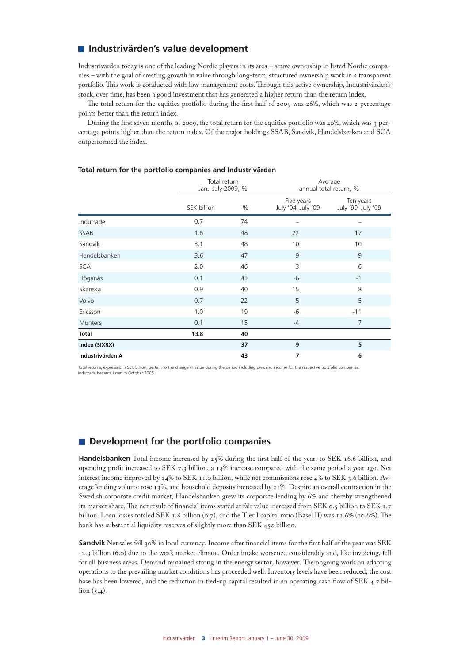## **Industrivärden's value development**

Industrivärden today is one of the leading Nordic players in its area – active ownership in listed Nordic companies – with the goal of creating growth in value through long-term, structured ownership work in a transparent portfolio. This work is conducted with low management costs. Through this active ownership, Industrivärden's stock, over time, has been a good investment that has generated a higher return than the return index.

The total return for the equities portfolio during the first half of 2009 was 26%, which was 2 percentage points better than the return index.

During the first seven months of 2009, the total return for the equities portfolio was 40%, which was 3 percentage points higher than the return index. Of the major holdings SSAB, Sandvik, Handelsbanken and SCA outperformed the index.

|                      | Total return<br>Jan.-July 2009, % |    |                                 | Average<br>annual total return, % |
|----------------------|-----------------------------------|----|---------------------------------|-----------------------------------|
|                      | SEK billion                       | %  | Five years<br>July '04-July '09 | Ten years<br>July '99-July '09    |
| Indutrade            | 0.7                               | 74 |                                 |                                   |
| SSAB                 | 1.6                               | 48 | 22                              | 17                                |
| Sandvik              | 3.1                               | 48 | 10                              | 10                                |
| <b>Handelsbanken</b> | 3.6                               | 47 | 9                               | 9                                 |
| <b>SCA</b>           | 2.0                               | 46 | 3                               | 6                                 |
| Höganäs              | 0.1                               | 43 | $-6$                            | $-1$                              |
| Skanska              | 0.9                               | 40 | 15                              | 8                                 |
| Volvo                | 0.7                               | 22 | 5                               | 5                                 |
| Ericsson             | 1.0                               | 19 | $-6$                            | $-11$                             |
| <b>Munters</b>       | 0.1                               | 15 | $-4$                            | $\overline{7}$                    |
| <b>Total</b>         | 13.8                              | 40 |                                 |                                   |
| Index (SIXRX)        |                                   | 37 | 9                               | 5                                 |
| Industrivärden A     |                                   | 43 | 7                               | 6                                 |

#### **Total return for the portfolio companies and Industrivärden**

Total returns, expressed in SEK billion, pertain to the change in value during the period including dividend income for the respective portfolio companies. Indutrade became listed in October 2005.

## ■ Development for the portfolio companies

Handelsbanken Total income increased by 25% during the first half of the year, to SEK 16.6 billion, and operating profit increased to SEK 7.3 billion, a 14% increase compared with the same period a year ago. Net interest income improved by 24% to SEK 11.0 billion, while net commissions rose 4% to SEK 3.6 billion. Average lending volume rose 13%, and household deposits increased by 21%. Despite an overall contraction in the Swedish corporate credit market, Handelsbanken grew its corporate lending by 6% and thereby strengthened its market share. The net result of financial items stated at fair value increased from SEK 0.5 billion to SEK 1.7 billion. Loan losses totaled SEK 1.8 billion (0.7), and the Tier I capital ratio (Basel II) was 12.6% (10.6%). The bank has substantial liquidity reserves of slightly more than SEK 450 billion.

**Sandvik** Net sales fell 30% in local currency. Income after financial items for the first half of the year was SEK -2.9 billion (6.0) due to the weak market climate. Order intake worsened considerably and, like invoicing, fell for all business areas. Demand remained strong in the energy sector, however. The ongoing work on adapting operations to the prevailing market conditions has proceeded well. Inventory levels have been reduced, the cost base has been lowered, and the reduction in tied-up capital resulted in an operating cash flow of SEK 4.7 billion  $(5.4)$ .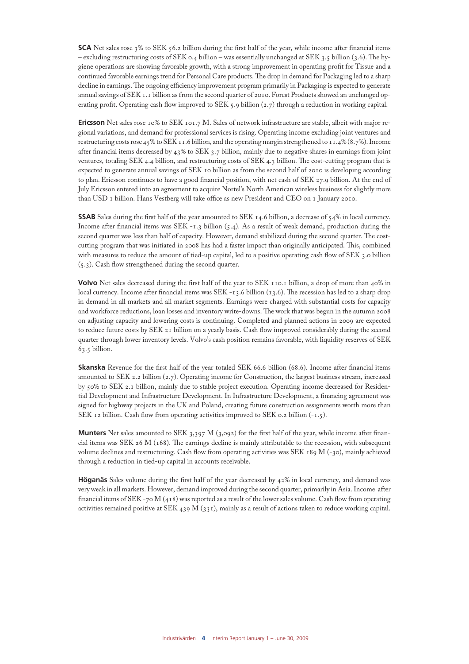**SCA** Net sales rose 3% to SEK 56.2 billion during the first half of the year, while income after financial items – excluding restructuring costs of SEK 0.4 billion – was essentially unchanged at SEK 3.5 billion (3.6). The hygiene operations are showing favorable growth, with a strong improvement in operating profit for Tissue and a continued favorable earnings trend for Personal Care products. The drop in demand for Packaging led to a sharp decline in earnings. The ongoing efficiency improvement program primarily in Packaging is expected to generate annual savings of SEK 1.1 billion as from the second quarter of 2010. Forest Products showed an unchanged operating profit. Operating cash flow improved to SEK 5.9 billion (2.7) through a reduction in working capital.

**Ericsson** Net sales rose 10% to SEK 101.7 M. Sales of network infrastructure are stable, albeit with major regional variations, and demand for professional services is rising. Operating income excluding joint ventures and restructuring costs rose 45% to SEK 11.6 billion, and the operating margin strengthened to 11.4% (8.7%). Income after financial items decreased by 43% to SEK 3.7 billion, mainly due to negative shares in earnings from joint ventures, totaling SEK 4.4 billion, and restructuring costs of SEK 4.3 billion. The cost-cutting program that is expected to generate annual savings of SEK 10 billion as from the second half of 2010 is developing according to plan. Ericsson continues to have a good financial position, with net cash of SEK 27.9 billion. At the end of July Ericsson entered into an agreement to acquire Nortel's North American wireless business for slightly more than USD 1 billion. Hans Vestberg will take office as new President and CEO on 1 January 2010.

**SSAB** Sales during the first half of the year amounted to SEK 14.6 billion, a decrease of 54% in local currency. Income after financial items was SEK -1.3 billion (5.4). As a result of weak demand, production during the second quarter was less than half of capacity. However, demand stabilized during the second quarter. The costcutting program that was initiated in 2008 has had a faster impact than originally anticipated. This, combined with measures to reduce the amount of tied-up capital, led to a positive operating cash flow of SEK 3.0 billion (5.3). Cash flow strengthened during the second quarter.

**Volvo** Net sales decreased during the first half of the year to SEK 110.1 billion, a drop of more than 40% in local currency. Income after financial items was SEK -13.6 billion (13.6). The recession has led to a sharp drop in demand in all markets and all market segments. Earnings were charged with substantial costs for capacity and workforce reductions, loan losses and inventory write-downs. The work that was begun in the autumn 2008 on adjusting capacity and lowering costs is continuing. Completed and planned actions in 2009 are expected to reduce future costs by SEK 21 billion on a yearly basis. Cash flow improved considerably during the second quarter through lower inventory levels. Volvo's cash position remains favorable, with liquidity reserves of SEK 63.5 billion.

**Skanska** Revenue for the first half of the year totaled SEK 66.6 billion (68.6). Income after financial items amounted to SEK 2.2 billion (2.7). Operating income for Construction, the largest business stream, increased by 50% to SEK 2.1 billion, mainly due to stable project execution. Operating income decreased for Residential Development and Infrastructure Development. In Infrastructure Development, a financing agreement was signed for highway projects in the UK and Poland, creating future construction assignments worth more than SEK 12 billion. Cash flow from operating activities improved to SEK 0.2 billion (-1.5).

**Munters** Net sales amounted to SEK 3,397 M (3,092) for the first half of the year, while income after financial items was SEK 26 M (168). The earnings decline is mainly attributable to the recession, with subsequent volume declines and restructuring. Cash flow from operating activities was SEK 189 M (-30), mainly achieved through a reduction in tied-up capital in accounts receivable.

**Höganäs** Sales volume during the first half of the year decreased by 42% in local currency, and demand was very weak in all markets. However, demand improved during the second quarter, primarily in Asia. Income after financial items of SEK -70 M (418) was reported as a result of the lower sales volume. Cash flow from operating activities remained positive at SEK 439 M (331), mainly as a result of actions taken to reduce working capital.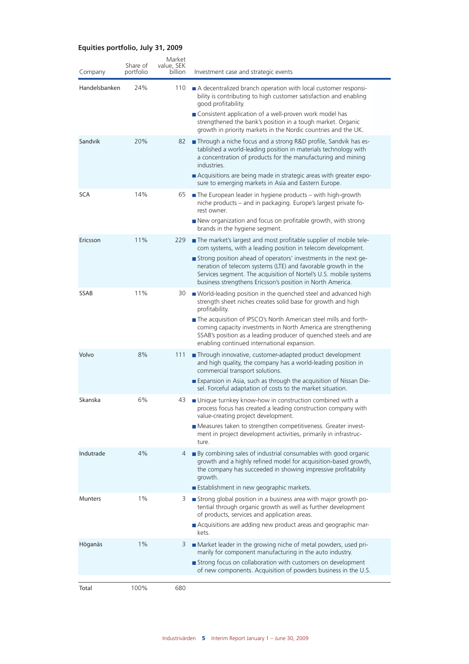### **Equities portfolio, July 31, 2009**

| Company        | Share of<br>portfolio | Market<br>value, SEK<br>billion | Investment case and strategic events                                                                                                                                                                                                                                                                                                                  |
|----------------|-----------------------|---------------------------------|-------------------------------------------------------------------------------------------------------------------------------------------------------------------------------------------------------------------------------------------------------------------------------------------------------------------------------------------------------|
| Handelsbanken  | 24%                   | 110                             | A decentralized branch operation with local customer responsi-<br>bility is contributing to high customer satisfaction and enabling<br>good profitability.<br>Consistent application of a well-proven work model has<br>strengthened the bank's position in a tough market. Organic<br>growth in priority markets in the Nordic countries and the UK. |
| Sandvik        | 20%                   | 82                              | Through a niche focus and a strong R&D profile, Sandvik has es-<br>tablished a world-leading position in materials technology with<br>a concentration of products for the manufacturing and mining<br>industries.                                                                                                                                     |
|                |                       |                                 | ■ Acquisitions are being made in strategic areas with greater expo-<br>sure to emerging markets in Asia and Eastern Europe.                                                                                                                                                                                                                           |
| <b>SCA</b>     | 14%                   |                                 | $65$ The European leader in hygiene products – with high-growth<br>niche products – and in packaging. Europe's largest private fo-<br>rest owner.                                                                                                                                                                                                     |
|                |                       |                                 | New organization and focus on profitable growth, with strong<br>brands in the hygiene segment.                                                                                                                                                                                                                                                        |
| Ericsson       | 11%                   | 229                             | The market's largest and most profitable supplier of mobile tele-<br>com systems, with a leading position in telecom development.<br>Strong position ahead of operators' investments in the next ge-                                                                                                                                                  |
|                |                       |                                 | neration of telecom systems (LTE) and favorable growth in the<br>Services segment. The acquisition of Nortel's U.S. mobile systems<br>business strengthens Ericsson's position in North America.                                                                                                                                                      |
| <b>SSAB</b>    | 11%                   | 30                              | ■ World-leading position in the quenched steel and advanced high<br>strength sheet niches creates solid base for growth and high<br>profitability.                                                                                                                                                                                                    |
|                |                       |                                 | The acquisition of IPSCO's North American steel mills and forth-<br>coming capacity investments in North America are strengthening<br>SSAB's position as a leading producer of quenched steels and are<br>enabling continued international expansion.                                                                                                 |
| Volvo          | 8%                    | 111                             | Through innovative, customer-adapted product development<br>and high quality, the company has a world-leading position in<br>commercial transport solutions.                                                                                                                                                                                          |
|                |                       |                                 | Expansion in Asia, such as through the acquisition of Nissan Die-<br>sel. Forceful adaptation of costs to the market situation.                                                                                                                                                                                                                       |
| Skanska        | 6%                    | 43                              | Unique turnkey know-how in construction combined with a<br>process focus has created a leading construction company with<br>value-creating project development.                                                                                                                                                                                       |
|                |                       |                                 | Measures taken to strengthen competitiveness. Greater invest-<br>ment in project development activities, primarily in infrastruc-<br>ture.                                                                                                                                                                                                            |
| Indutrade      | 4%                    | 4                               | ■ By combining sales of industrial consumables with good organic<br>growth and a highly refined model for acquisition-based growth,<br>the company has succeeded in showing impressive profitability<br>growth.<br>Establishment in new geographic markets.                                                                                           |
| <b>Munters</b> | $1\%$                 | 3                               | Strong global position in a business area with major growth po-<br>tential through organic growth as well as further development                                                                                                                                                                                                                      |
|                |                       |                                 | of products, services and application areas.<br>Acquisitions are adding new product areas and geographic mar-                                                                                                                                                                                                                                         |
| Höganäs        | 1%                    | 3                               | kets.<br>Market leader in the growing niche of metal powders, used pri-                                                                                                                                                                                                                                                                               |
|                |                       |                                 | marily for component manufacturing in the auto industry.<br>Strong focus on collaboration with customers on development<br>of new components. Acquisition of powders business in the U.S.                                                                                                                                                             |
|                |                       |                                 |                                                                                                                                                                                                                                                                                                                                                       |
| Total          | 100%                  | 680                             |                                                                                                                                                                                                                                                                                                                                                       |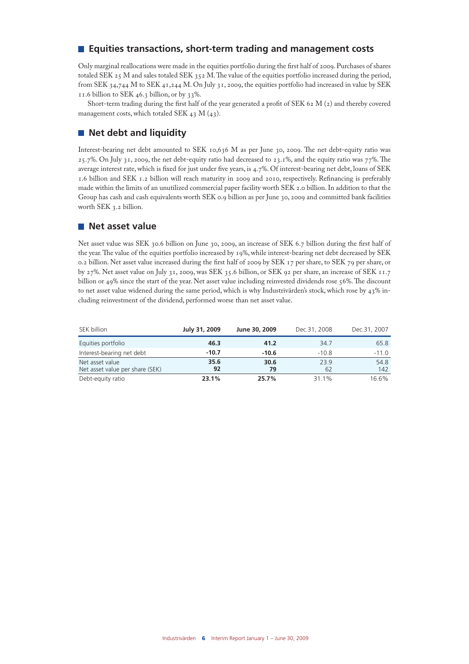## **Equities transactions, short-term trading and management costs**

Only marginal reallocations were made in the equities portfolio during the first half of 2009. Purchases of shares totaled SEK 25 M and sales totaled SEK 352 M. The value of the equities portfolio increased during the period, from SEK 34,744 M to SEK 41,244 M. On July 31, 2009, the equities portfolio had increased in value by SEK 11.6 billion to SEK 46.3 billion, or by 33%.

Short-term trading during the first half of the year generated a profit of SEK 62 M (2) and thereby covered management costs, which totaled SEK 43 M (43).

## **Net debt and liquidity**

Interest-bearing net debt amounted to SEK 10,636 M as per June 30, 2009. The net debt-equity ratio was 25.7%. On July 31, 2009, the net debt-equity ratio had decreased to 23.1%, and the equity ratio was 77%. The average interest rate, which is fixed for just under five years, is 4.7%. Of interest-bearing net debt, loans of SEK 1.6 billion and SEK 1.2 billion will reach maturity in 2009 and 2010, respectively. Refinancing is preferably made within the limits of an unutilized commercial paper facility worth SEK 2.0 billion. In addition to that the Group has cash and cash equivalents worth SEK 0.9 billion as per June 30, 2009 and committed bank facilities worth SEK 3.2 billion.

#### **Net asset value**

Net asset value was SEK 30.6 billion on June 30, 2009, an increase of SEK 6.7 billion during the first half of the year. The value of the equities portfolio increased by 19%, while interest-bearing net debt decreased by SEK 0.2 billion. Net asset value increased during the first half of 2009 by SEK 17 per share, to SEK 79 per share, or by 27%. Net asset value on July 31, 2009, was SEK 35.6 billion, or SEK 92 per share, an increase of SEK 11.7 billion or 49% since the start of the year. Net asset value including reinvested dividends rose 56%. The discount to net asset value widened during the same period, which is why Industrivärden's stock, which rose by 43% including reinvestment of the dividend, performed worse than net asset value.

| SEK billion                                        | July 31, 2009 | June 30, 2009 | Dec.31, 2008 | Dec.31, 2007 |
|----------------------------------------------------|---------------|---------------|--------------|--------------|
| Equities portfolio                                 | 46.3          | 41.2          | 34.7         | 65.8         |
| Interest-bearing net debt                          | $-10.7$       | $-10.6$       | $-10.8$      | $-11.0$      |
| Net asset value<br>Net asset value per share (SEK) | 35.6<br>92    | 30.6<br>79    | 23.9<br>62   | 54.8<br>142  |
| Debt-equity ratio                                  | 23.1%         | 25.7%         | 31.1%        | 16.6%        |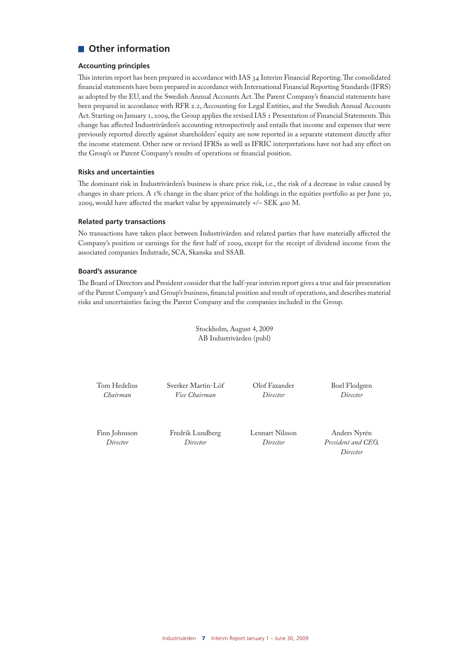## **Other information**

#### **Accounting principles**

This interim report has been prepared in accordance with IAS 34 Interim Financial Reporting. The consolidated financial statements have been prepared in accordance with International Financial Reporting Standards (IFRS) as adopted by the EU, and the Swedish Annual Accounts Act. The Parent Company's financial statements have been prepared in accordance with RFR 2.2, Accounting for Legal Entities, and the Swedish Annual Accounts Act. Starting on January 1, 2009, the Group applies the revised IAS 1 Presentation of Financial Statements. This change has affected Industrivärden's accounting retrospectively and entails that income and expenses that were previously reported directly against shareholders' equity are now reported in a separate statement directly after the income statement. Other new or revised IFRSs as well as IFRIC interpretations have not had any effect on the Group's or Parent Company's results of operations or financial position.

#### **Risks and uncertainties**

The dominant risk in Industrivärden's business is share price risk, i.e., the risk of a decrease in value caused by changes in share prices. A 1% change in the share price of the holdings in the equities portfolio as per June 30, 2009, would have affected the market value by approximately +/– SEK 400 M.

#### **Related party transactions**

No transactions have taken place between Industrivärden and related parties that have materially affected the Company's position or earnings for the first half of 2009, except for the receipt of dividend income from the associated companies Indutrade, SCA, Skanska and SSAB.

#### **Board's assurance**

The Board of Directors and President consider that the half-year interim report gives a true and fair presentation of the Parent Company's and Group's business, financial position and result of operations, and describes material risks and uncertainties facing the Parent Company and the companies included in the Group.

> Stockholm, August 4, 2009 AB Industrivärden (publ)

Tom Hedelius *Chairman*

Sverker Martin-Löf *Vice Chairman*

Olof Faxander *Director*

Boel Flodgren *Director*

Finn Johnsson *Director*

Fredrik Lundberg *Director*

Lennart Nilsson *Director*

Anders Nyrén *President and CEO, Director*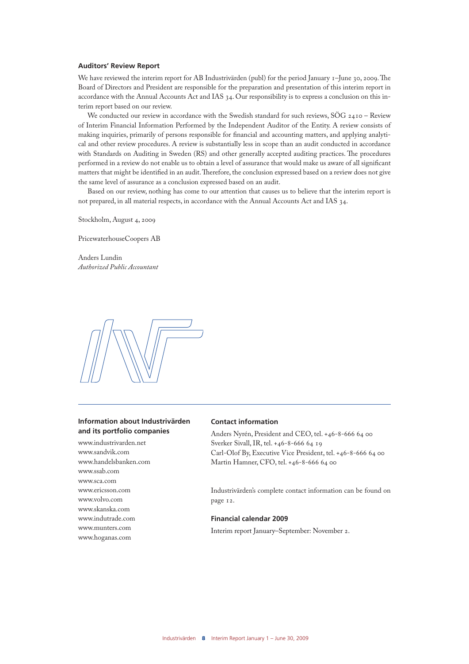#### **Auditors' Review Report**

We have reviewed the interim report for AB Industrivärden (publ) for the period January 1–June 30, 2009. The Board of Directors and President are responsible for the preparation and presentation of this interim report in accordance with the Annual Accounts Act and IAS 34. Our responsibility is to express a conclusion on this interim report based on our review.

We conducted our review in accordance with the Swedish standard for such reviews, SÖG 2410 - Review of Interim Financial Information Performed by the Independent Auditor of the Entity. A review consists of making inquiries, primarily of persons responsible for financial and accounting matters, and applying analytical and other review procedures. A review is substantially less in scope than an audit conducted in accordance with Standards on Auditing in Sweden (RS) and other generally accepted auditing practices. The procedures performed in a review do not enable us to obtain a level of assurance that would make us aware of all significant matters that might be identified in an audit. Therefore, the conclusion expressed based on a review does not give the same level of assurance as a conclusion expressed based on an audit.

Based on our review, nothing has come to our attention that causes us to believe that the interim report is not prepared, in all material respects, in accordance with the Annual Accounts Act and IAS 34.

Stockholm, August 4, 2009

PricewaterhouseCoopers AB

Anders Lundin *Authorized Public Accountant*



#### **Information about Industrivärden and its portfolio companies**

www.industrivarden.net www.sandvik.com www.handelsbanken.com www.ssab.com www.sca.com www.ericsson.com www.volvo.com www.skanska.com www.indutrade.com www.munters.com www.hoganas.com

#### **Contact information**

Anders Nyrén, President and CEO, tel. +46-8-666 64 00 Sverker Sivall, IR, tel. +46-8-666 64 19 Carl-Olof By, Executive Vice President, tel. +46-8-666 64 00 Martin Hamner, CFO, tel. +46-8-666 64 00

Industrivärden's complete contact information can be found on page 12.

#### **Financial calendar 2009**

Interim report January–September: November 2.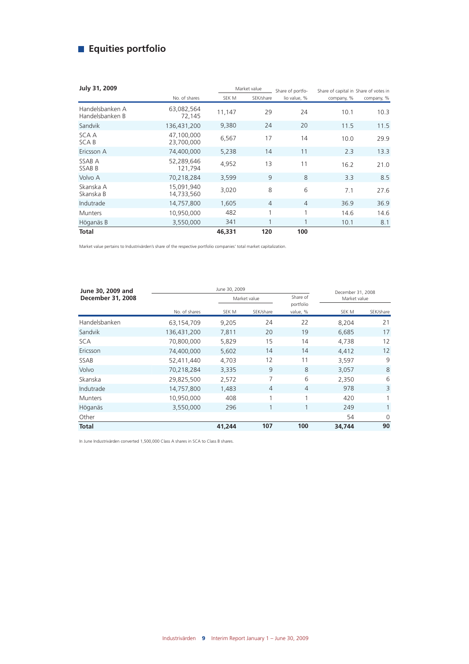## **Equities portfolio**

| July 31, 2009                      |                          |        | Market value   | Share of portfo- | Share of capital in Share of votes in |            |
|------------------------------------|--------------------------|--------|----------------|------------------|---------------------------------------|------------|
|                                    | No. of shares            | SEK M  | SEK/share      | lio value, %     | company, %                            | company, % |
| Handelsbanken A<br>Handelsbanken B | 63,082,564<br>72,145     | 11,147 | 29             | 24               | 10.1                                  | 10.3       |
| Sandvik                            | 136,431,200              | 9,380  | 24             | 20               | 11.5                                  | 11.5       |
| SCA A<br><b>SCAB</b>               | 47.100.000<br>23,700,000 | 6,567  | 17             | 14               | 10.0                                  | 29.9       |
| Ericsson A                         | 74,400,000               | 5,238  | 14             | 11               | 2.3                                   | 13.3       |
| SSAB A<br><b>SSABB</b>             | 52,289,646<br>121,794    | 4,952  | 13             | 11               | 16.2                                  | 21.0       |
| Volvo A                            | 70,218,284               | 3,599  | 9              | 8                | 3.3                                   | 8.5        |
| Skanska A<br>Skanska B             | 15,091,940<br>14,733,560 | 3,020  | 8              | 6                | 7.1                                   | 27.6       |
| Indutrade                          | 14,757,800               | 1,605  | $\overline{4}$ | $\overline{4}$   | 36.9                                  | 36.9       |
| <b>Munters</b>                     | 10,950,000               | 482    | 1              | $\mathbf{1}$     | 14.6                                  | 14.6       |
| Höganäs B                          | 3,550,000                | 341    | $\mathbf{1}$   | $\mathbf{1}$     | 10.1                                  | 8.1        |
| <b>Total</b>                       |                          | 46,331 | 120            | 100              |                                       |            |

Market value pertains to Industrivärden's share of the respective portfolio companies' total market capitalization.

| June 30, 2009 and |               |              | December 31, 2008 |                       |              |              |
|-------------------|---------------|--------------|-------------------|-----------------------|--------------|--------------|
| December 31, 2008 |               | Market value |                   | Share of              | Market value |              |
|                   | No. of shares | SEK M        | SEK/share         | portfolio<br>value, % | SEK M        | SEK/share    |
| Handelsbanken     | 63,154,709    | 9.205        | 24                | 22                    | 8,204        | 21           |
| Sandvik           | 136,431,200   | 7,811        | 20                | 19                    | 6,685        | 17           |
| <b>SCA</b>        | 70,800,000    | 5,829        | 15                | 14                    | 4,738        | 12           |
| Ericsson          | 74,400,000    | 5,602        | 14                | 14                    | 4,412        | 12           |
| SSAB              | 52,411,440    | 4,703        | 12                | 11                    | 3,597        | 9            |
| Volvo             | 70,218,284    | 3,335        | 9                 | 8                     | 3,057        | 8            |
| Skanska           | 29,825,500    | 2,572        | 7                 | 6                     | 2,350        | 6            |
| Indutrade         | 14,757,800    | 1,483        | $\overline{4}$    | $\overline{4}$        | 978          | 3            |
| <b>Munters</b>    | 10,950,000    | 408          | 1                 | 1                     | 420          |              |
| Höganäs           | 3,550,000     | 296          |                   | 1                     | 249          | $\mathbf{1}$ |
| Other             |               |              |                   |                       | 54           | $\Omega$     |
| Total             |               | 41,244       | 107               | 100                   | 34,744       | 90           |

In June Industrivärden converted 1,500,000 Class A shares in SCA to Class B shares.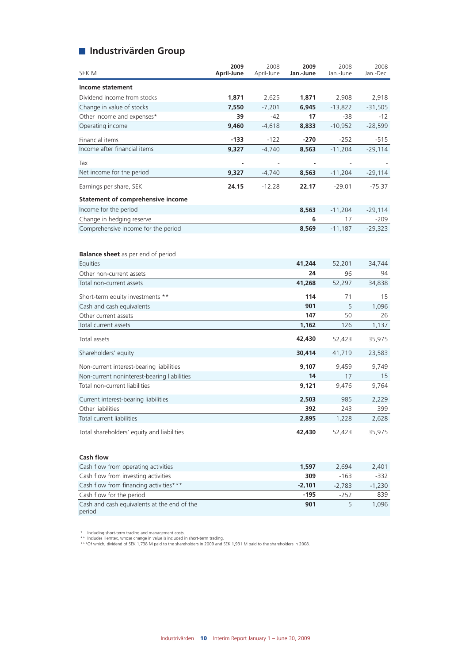## **Industrivärden Group**

| SEK M                                       | 2009<br>April-June | 2008<br>April-June | 2009<br>Jan.-June | 2008<br>Jan.-June | 2008<br>Jan.-Dec. |
|---------------------------------------------|--------------------|--------------------|-------------------|-------------------|-------------------|
| Income statement                            |                    |                    |                   |                   |                   |
| Dividend income from stocks                 | 1,871              | 2,625              | 1,871             | 2,908             | 2,918             |
| Change in value of stocks                   | 7,550              | $-7,201$           | 6,945             | $-13,822$         | $-31,505$         |
| Other income and expenses*                  | 39                 | $-42$              | 17                | $-38$             | $-12$             |
| Operating income                            | 9,460              | $-4,618$           | 8,833             | $-10,952$         | $-28,599$         |
| Financial items                             | $-133$             | $-122$             | $-270$            | $-252$            | $-515$            |
| Income after financial items                | 9,327              | $-4,740$           | 8,563             | $-11,204$         | $-29,114$         |
| Tax                                         |                    |                    |                   |                   |                   |
| Net income for the period                   | 9,327              | $-4,740$           | 8,563             | $-11,204$         | $-29,114$         |
| Earnings per share, SEK                     | 24.15              | $-12.28$           | 22.17             | $-29.01$          | $-75.37$          |
| <b>Statement of comprehensive income</b>    |                    |                    |                   |                   |                   |
| Income for the period                       |                    |                    | 8,563             | $-11,204$         | $-29,114$         |
| Change in hedging reserve                   |                    |                    | 6                 | 17                | $-209$            |
| Comprehensive income for the period         |                    |                    | 8,569             | $-11,187$         | $-29,323$         |
| <b>Balance sheet</b> as per end of period   |                    |                    |                   |                   |                   |
| Equities                                    |                    |                    | 41,244            | 52,201            | 34,744            |
| Other non-current assets                    |                    |                    | 24                | 96                | 94                |
| Total non-current assets                    |                    |                    | 41,268            | 52,297            | 34,838            |
| Short-term equity investments **            |                    |                    | 114               | 71                | 15                |
| Cash and cash equivalents                   |                    |                    | 901               | 5                 | 1,096             |
| Other current assets                        |                    |                    | 147               | 50                | 26                |
| Total current assets                        |                    |                    | 1,162             | 126               | 1,137             |
| Total assets                                |                    |                    | 42,430            | 52,423            | 35,975            |
| Shareholders' equity                        |                    |                    | 30,414            | 41,719            | 23,583            |
| Non-current interest-bearing liabilities    |                    |                    | 9,107             | 9,459             | 9,749             |
| Non-current noninterest-bearing liabilities |                    |                    | 14                | 17                | 15                |
| Total non-current liabilities               |                    |                    | 9,121             | 9,476             | 9,764             |
| Current interest-bearing liabilities        |                    |                    | 2,503             | 985               | 2,229             |
| Other liabilities                           |                    |                    | 392               | 243               | 399               |
| Total current liabilities                   |                    |                    | 2,895             | 1,228             | 2,628             |
| Total shareholders' equity and liabilities  |                    |                    | 42,430            | 52,423            | 35,975            |

| <b>Cash flow</b>                                      |          |          |          |
|-------------------------------------------------------|----------|----------|----------|
| Cash flow from operating activities                   | 1.597    | 2.694    | 2,401    |
| Cash flow from investing activities                   | 309      | $-163$   | $-332$   |
| Cash flow from financing activities***                | $-2.101$ | $-2.783$ | $-1,230$ |
| Cash flow for the period                              | $-195$   | $-252$   | 839      |
| Cash and cash equivalents at the end of the<br>period | 901      |          | 1.096    |

\* Including short-term trading and management costs.<br>\*\* Includes Hemtex, whose change in value is included in short-term trading.<br>\*\*\*Of which, dividend of SEK 1,738 M paid to the shareholders in 2009 and SEK 1,931 M pa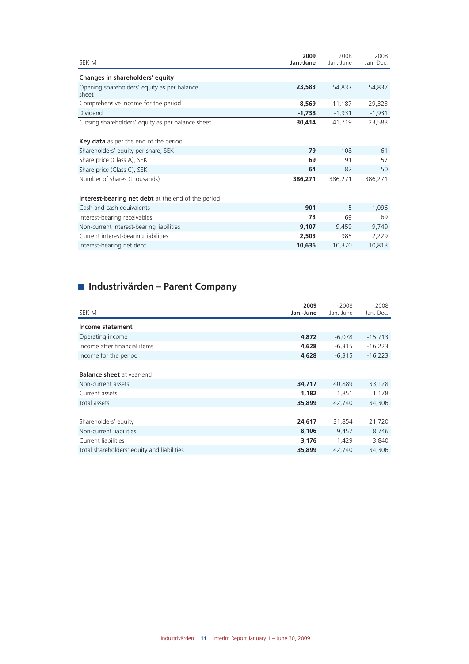| SEK M                                                | 2009<br>Jan.-June | 2008<br>Jan.-June | 2008<br>Jan.-Dec. |
|------------------------------------------------------|-------------------|-------------------|-------------------|
| Changes in shareholders' equity                      |                   |                   |                   |
| Opening shareholders' equity as per balance<br>sheet | 23,583            | 54,837            | 54,837            |
| Comprehensive income for the period                  | 8,569             | $-11,187$         | $-29,323$         |
| Dividend                                             | $-1,738$          | $-1,931$          | $-1,931$          |
| Closing shareholders' equity as per balance sheet    | 30,414            | 41,719            | 23,583            |
| <b>Key data</b> as per the end of the period         |                   |                   |                   |
| Shareholders' equity per share, SEK                  | 79                | 108               | 61                |
| Share price (Class A), SEK                           | 69                | 91                | 57                |
| Share price (Class C), SEK                           | 64                | 82                | 50                |
| Number of shares (thousands)                         | 386,271           | 386,271           | 386,271           |
|                                                      |                   |                   |                   |
| Interest-bearing net debt at the end of the period   |                   |                   |                   |
| Cash and cash equivalents                            | 901               | 5                 | 1,096             |
| Interest-bearing receivables                         | 73                | 69                | 69                |
| Non-current interest-bearing liabilities             | 9,107             | 9,459             | 9,749             |
| Current interest-bearing liabilities                 | 2,503             | 985               | 2,229             |
| Interest-bearing net debt                            | 10,636            | 10,370            | 10,813            |

## **Industrivärden – Parent Company**

| SEK M                                                  | 2009<br>Jan.-June | 2008<br>Jan.-June | 2008<br>Jan.-Dec. |
|--------------------------------------------------------|-------------------|-------------------|-------------------|
| Income statement                                       |                   |                   |                   |
| Operating income                                       | 4,872             | $-6,078$          | $-15,713$         |
| Income after financial items                           | 4,628             | $-6,315$          | $-16,223$         |
| Income for the period                                  | 4,628             | $-6,315$          | $-16,223$         |
| <b>Balance sheet</b> at year-end<br>Non-current assets | 34,717            | 40,889            | 33,128            |
| Current assets                                         | 1,182             | 1,851             | 1,178             |
| Total assets                                           | 35,899            | 42,740            | 34,306            |
| Shareholders' equity                                   | 24,617            | 31,854            | 21,720            |
| Non-current liabilities                                | 8,106             | 9,457             | 8,746             |
| Current liabilities                                    | 3,176             | 1,429             | 3,840             |
| Total shareholders' equity and liabilities             | 35,899            | 42,740            | 34,306            |